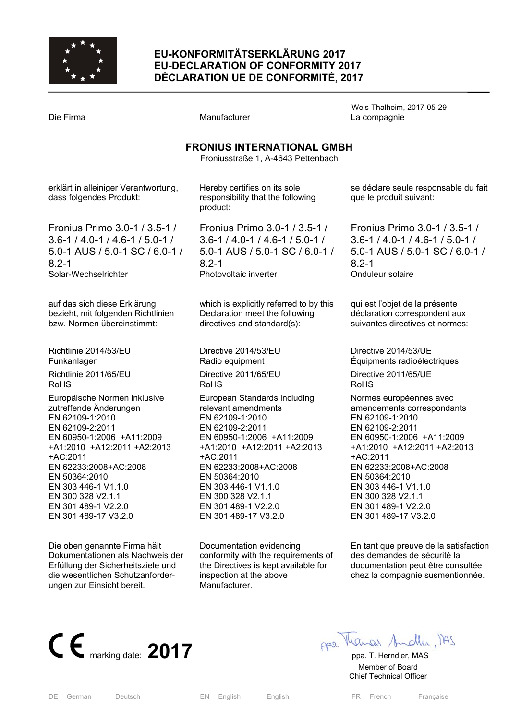

## **EU-KONFORMITÄTSERKLÄRUNG 2017 EU-DECLARATION OF CONFORMITY 2017 DÉCLARATION UE DE CONFORMITÉ, 2017**

Wels-Thalheim, 2017-05-29 Die Firma and Compagnie Manufacturer Company La compagnie **FRONIUS INTERNATIONAL GMBH**  Froniusstraße 1, A-4643 Pettenbach erklärt in alleiniger Verantwortung, dass folgendes Produkt: Fronius Primo 3.0-1 / 3.5-1 / 3.6-1 / 4.0-1 / 4.6-1 / 5.0-1 / 5.0-1 AUS / 5.0-1 SC / 6.0-1 / 8.2-1 Solar-Wechselrichter auf das sich diese Erklärung bezieht, mit folgenden Richtlinien bzw. Normen übereinstimmt: Richtlinie 2014/53/EU Funkanlagen Richtlinie 2011/65/EU RoHS Europäische Normen inklusive zutreffende Änderungen EN 62109-1:2010 EN 62109-2:2011 EN 60950-1:2006 +A11:2009 +A1:2010 +A12:2011 +A2:2013 +AC:2011 EN 62233:2008+AC:2008 EN 50364:2010 EN 303 446-1 V1.1.0 EN 300 328 V2.1.1 EN 301 489-1 V2.2.0 EN 301 489-17 V3.2.0 Hereby certifies on its sole responsibility that the following product: Fronius Primo 3.0-1 / 3.5-1 / 3.6-1 / 4.0-1 / 4.6-1 / 5.0-1 / 5.0-1 AUS / 5.0-1 SC / 6.0-1 / 8.2-1 Photovoltaic inverter which is explicitly referred to by this Declaration meet the following directives and standard(s): Directive 2014/53/EU Radio equipment Directive 2011/65/EU RoHS European Standards including relevant amendments EN 62109-1:2010 EN 62109-2:2011 EN 60950-1:2006 +A11:2009 +A1:2010 +A12:2011 +A2:2013 +AC:2011 EN 62233:2008+AC:2008 EN 50364:2010 EN 303 446-1 V1.1.0 EN 300 328 V2.1.1 EN 301 489-1 V2.2.0 EN 301 489-17 V3.2.0 se déclare seule responsable du fait que le produit suivant: Fronius Primo 3.0-1 / 3.5-1 / 3.6-1 / 4.0-1 / 4.6-1 / 5.0-1 / 5.0-1 AUS / 5.0-1 SC / 6.0-1 / 8.2-1 Onduleur solaire qui est l'objet de la présente déclaration correspondent aux suivantes directives et normes: Directive 2014/53/UE Équipments radioélectriques Directive 2011/65/UE RoHS Normes européennes avec amendements correspondants EN 62109-1:2010 EN 62109-2:2011 EN 60950-1:2006 +A11:2009 +A1:2010 +A12:2011 +A2:2013 +AC:2011 EN 62233:2008+AC:2008 EN 50364:2010 EN 303 446-1 V1.1.0 EN 300 328 V2.1.1 EN 301 489-1 V2.2.0 EN 301 489-17 V3.2.0

> En tant que preuve de la satisfaction des demandes de sécurité la documentation peut être consultée chez la compagnie susmentionnée.



Die oben genannte Firma hält Dokumentationen als Nachweis der Erfüllung der Sicherheitsziele und die wesentlichen Schutzanforderungen zur Einsicht bereit.

Documentation evidencing conformity with the requirements of the Directives is kept available for inspection at the above Manufacturer.

**CE** marking date: **2017 pp**a. Thendler, MAS

 Member of Board Chief Technical Officer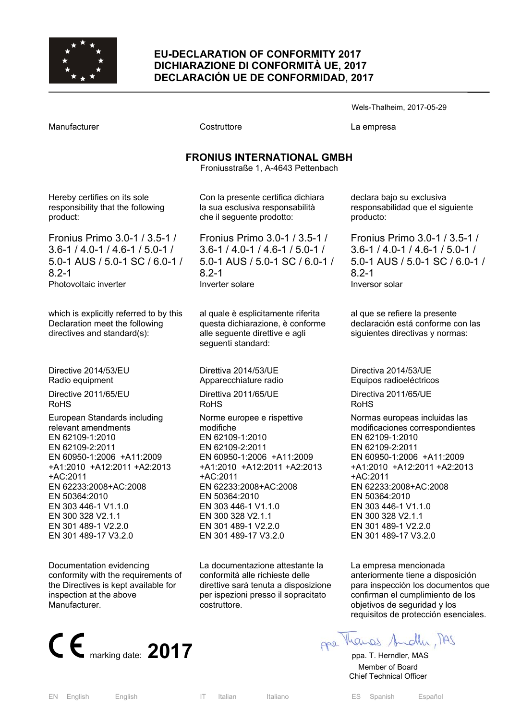

#### **EU-DECLARATION OF CONFORMITY 2017 DICHIARAZIONE DI CONFORMITÀ UE, 2017 DECLARACIÓN UE DE CONFORMIDAD, 2017**

Manufacturer Costruttore La empresa

Wels-Thalheim, 2017-05-29

# **FRONIUS INTERNATIONAL GMBH**

Froniusstraße 1, A-4643 Pettenbach

Hereby certifies on its sole responsibility that the following product:

Fronius Primo 3.0-1 / 3.5-1 / 3.6-1 / 4.0-1 / 4.6-1 / 5.0-1 / 5.0-1 AUS / 5.0-1 SC / 6.0-1 / 8.2-1 Photovoltaic inverter

which is explicitly referred to by this Declaration meet the following directives and standard(s):

Directive 2014/53/EU Radio equipment

Directive 2011/65/EU RoHS

European Standards including relevant amendments EN 62109-1:2010 EN 62109-2:2011 EN 60950-1:2006 +A11:2009 +A1:2010 +A12:2011 +A2:2013 +AC:2011 EN 62233:2008+AC:2008 EN 50364:2010 EN 303 446-1 V1.1.0 EN 300 328 V2.1.1 EN 301 489-1 V2.2.0 EN 301 489-17 V3.2.0

Documentation evidencing conformity with the requirements of the Directives is kept available for inspection at the above Manufacturer.



Con la presente certifica dichiara la sua esclusiva responsabilità che il seguente prodotto:

Fronius Primo 3.0-1 / 3.5-1 / 3.6-1 / 4.0-1 / 4.6-1 / 5.0-1 / 5.0-1 AUS / 5.0-1 SC / 6.0-1 / 8.2-1 Inverter solare

al quale è esplicitamente riferita questa dichiarazione, è conforme alle seguente direttive e agli seguenti standard:

Direttiva 2014/53/UE Apparecchiature radio

Direttiva 2011/65/UE RoHS

Norme europee e rispettive modifiche EN 62109-1:2010 EN 62109-2:2011 EN 60950-1:2006 +A11:2009 +A1:2010 +A12:2011 +A2:2013 +AC:2011 EN 62233:2008+AC:2008 EN 50364:2010 EN 303 446-1 V1.1.0 EN 300 328 V2.1.1 EN 301 489-1 V2.2.0 EN 301 489-17 V3.2.0

La documentazione attestante la conformità alle richieste delle direttive sarà tenuta a disposizione per ispezioni presso il sopracitato costruttore.

declara bajo su exclusiva responsabilidad que el siguiente producto:

Fronius Primo 3.0-1 / 3.5-1 / 3.6-1 / 4.0-1 / 4.6-1 / 5.0-1 / 5.0-1 AUS / 5.0-1 SC / 6.0-1 / 8.2-1 Inversor solar

al que se refiere la presente declaración está conforme con las siguientes directivas y normas:

Directiva 2014/53/UE Equipos radioeléctricos

Directiva 2011/65/UE RoHS

Normas europeas incluidas las modificaciones correspondientes EN 62109-1:2010 EN 62109-2:2011 EN 60950-1:2006 +A11:2009 +A1:2010 +A12:2011 +A2:2013 +AC:2011 EN 62233:2008+AC:2008 EN 50364:2010 EN 303 446-1 V1.1.0 EN 300 328 V2.1.1 EN 301 489-1 V2.2.0 EN 301 489-17 V3.2.0

La empresa mencionada anteriormente tiene a disposición para inspección los documentos que confirman el cumplimiento de los objetivos de seguridad y los requisitos de protección esenciales.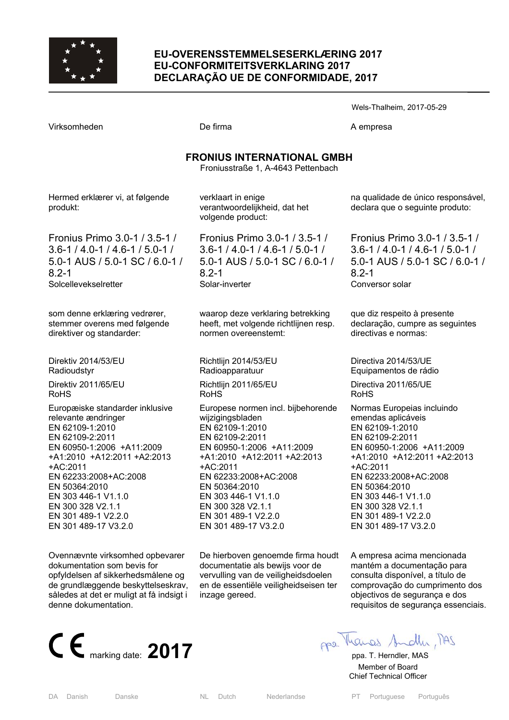

## **EU-OVERENSSTEMMELSESERKLÆRING 2017 EU-CONFORMITEITSVERKLARING 2017 DECLARAÇÃO UE DE CONFORMIDADE, 2017**

Wels-Thalheim, 2017-05-29

Virksomheden **De firma** De firma A empresa

## **FRONIUS INTERNATIONAL GMBH**

Froniusstraße 1, A-4643 Pettenbach

Hermed erklærer vi, at følgende produkt:

Fronius Primo 3.0-1 / 3.5-1 / 3.6-1 / 4.0-1 / 4.6-1 / 5.0-1 / 5.0-1 AUS / 5.0-1 SC / 6.0-1 / 8.2-1 Solcellevekselretter

som denne erklæring vedrører, stemmer overens med følgende direktiver og standarder:

Direktiv 2014/53/EU Radioudstyr Direktiv 2011/65/EU RoHS

Europæiske standarder inklusive relevante ændringer EN 62109-1:2010 EN 62109-2:2011 EN 60950-1:2006 +A11:2009 +A1:2010 +A12:2011 +A2:2013 +AC:2011 EN 62233:2008+AC:2008 EN 50364:2010 EN 303 446-1 V1.1.0 EN 300 328 V2.1.1 EN 301 489-1 V2.2.0 EN 301 489-17 V3.2.0

Ovennævnte virksomhed opbevarer dokumentation som bevis for opfyldelsen af sikkerhedsmålene og de grundlæggende beskyttelseskrav, således at det er muligt at få indsigt i denne dokumentation.



verklaart in enige verantwoordelijkheid, dat het volgende product:

Fronius Primo 3.0-1 / 3.5-1 / 3.6-1 / 4.0-1 / 4.6-1 / 5.0-1 / 5.0-1 AUS / 5.0-1 SC / 6.0-1 / 8.2-1 Solar-inverter

waarop deze verklaring betrekking heeft, met volgende richtlijnen resp. normen overeenstemt:

Richtlijn 2014/53/EU Radioapparatuur Richtlijn 2011/65/EU

RoHS

Europese normen incl. bijbehorende wiizigingsbladen EN 62109-1:2010 EN 62109-2:2011 EN 60950-1:2006 +A11:2009 +A1:2010 +A12:2011 +A2:2013 +AC:2011 EN 62233:2008+AC:2008 EN 50364:2010 EN 303 446-1 V1.1.0 EN 300 328 V2.1.1 EN 301 489-1 V2.2.0 EN 301 489-17 V3.2.0

De hierboven genoemde firma houdt documentatie als bewijs voor de vervulling van de veiligheidsdoelen en de essentiële veiligheidseisen ter inzage gereed.

na qualidade de único responsável, declara que o seguinte produto:

Fronius Primo 3.0-1 / 3.5-1 / 3.6-1 / 4.0-1 / 4.6-1 / 5.0-1 / 5.0-1 AUS / 5.0-1 SC / 6.0-1 / 8.2-1 Conversor solar

que diz respeito à presente declaração, cumpre as seguintes directivas e normas:

Directiva 2014/53/UE Equipamentos de rádio Directiva 2011/65/UE RoHS

Normas Europeias incluindo emendas aplicáveis EN 62109-1:2010 EN 62109-2:2011 EN 60950-1:2006 +A11:2009 +A1:2010 +A12:2011 +A2:2013 +AC:2011 EN 62233:2008+AC:2008 EN 50364:2010 EN 303 446-1 V1.1.0 EN 300 328 V2.1.1 EN 301 489-1 V2.2.0 EN 301 489-17 V3.2.0

A empresa acima mencionada mantém a documentação para consulta disponível, a título de comprovação do cumprimento dos objectivos de segurança e dos requisitos de segurança essenciais.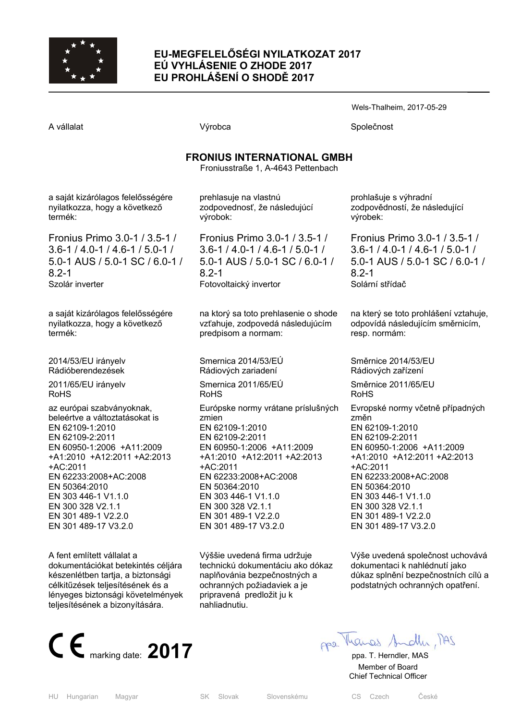

## **EU-MEGFELELŐSÉGI NYILATKOZAT 2017 EÚ VYHLÁSENIE O ZHODE 2017 EU PROHLÁŠENÍ O SHODĚ 2017**

Wels-Thalheim, 2017-05-29

A vállalat Společnost Nýrobca Společnost Společnost

## **FRONIUS INTERNATIONAL GMBH**

Froniusstraße 1, A-4643 Pettenbach

a saját kizárólagos felelősségére nyilatkozza, hogy a következő termék:

Fronius Primo 3.0-1 / 3.5-1 / 3.6-1 / 4.0-1 / 4.6-1 / 5.0-1 / 5.0-1 AUS / 5.0-1 SC / 6.0-1 / 8.2-1 Szolár inverter

a saját kizárólagos felelősségére nyilatkozza, hogy a következő termék:

2014/53/EU irányelv Rádióberendezések

2011/65/EU irányelv RoHS

az európai szabványoknak, beleértve a változtatásokat is EN 62109-1:2010 EN 62109-2:2011 EN 60950-1:2006 +A11:2009 +A1:2010 +A12:2011 +A2:2013 +AC:2011 EN 62233:2008+AC:2008 EN 50364:2010 EN 303 446-1 V1.1.0 EN 300 328 V2.1.1 EN 301 489-1 V2.2.0 EN 301 489-17 V3.2.0

A fent említett vállalat a dokumentációkat betekintés céljára készenlétben tartja, a biztonsági célkitűzések teljesítésének és a lényeges biztonsági követelmények teljesítésének a bizonyítására.



prehlasuje na vlastnú zodpovednosť, že následujúcí výrobok:

Fronius Primo 3.0-1 / 3.5-1 / 3.6-1 / 4.0-1 / 4.6-1 / 5.0-1 / 5.0-1 AUS / 5.0-1 SC / 6.0-1 / 8.2-1 Fotovoltaický invertor

na ktorý sa toto prehlasenie o shode vzťahuje, zodpovedá následujúcím predpisom a normam:

Smernica 2014/53/EÚ Rádiových zariadení Smernica 2011/65/EÚ RoHS Európske normy vrátane príslušných zmien EN 62109-1:2010 EN 62109-2:2011 EN 60950-1:2006 +A11:2009 +A1:2010 +A12:2011 +A2:2013 +AC:2011 EN 62233:2008+AC:2008 EN 50364:2010 EN 303 446-1 V1.1.0 EN 300 328 V2.1.1 EN 301 489-1 V2.2.0 EN 301 489-17 V3.2.0

Výššie uvedená firma udržuje technickú dokumentáciu ako dókaz naplňovánia bezpečnostných a ochranných požiadaviek a je pripravená predložit ju k nahliadnutiu.

prohlašuje s výhradní zodpovědností, že následující výrobek:

Fronius Primo 3.0-1 / 3.5-1 / 3.6-1 / 4.0-1 / 4.6-1 / 5.0-1 / 5.0-1 AUS / 5.0-1 SC / 6.0-1 / 8.2-1 Solární střídač

na který se toto prohlášení vztahuje, odpovídá následujícím směrnicím, resp. normám:

Směrnice 2014/53/EU Rádiových zařízení

Směrnice 2011/65/EU RoHS

Evropské normy včetně případných změn EN 62109-1:2010 EN 62109-2:2011 EN 60950-1:2006 +A11:2009 +A1:2010 +A12:2011 +A2:2013 +AC:2011 EN 62233:2008+AC:2008 EN 50364:2010 EN 303 446-1 V1.1.0 EN 300 328 V2.1.1 EN 301 489-1 V2.2.0 EN 301 489-17 V3.2.0

Výše uvedená společnost uchovává dokumentaci k nahlédnutí jako důkaz splnění bezpečnostních cílů a podstatných ochranných opatření.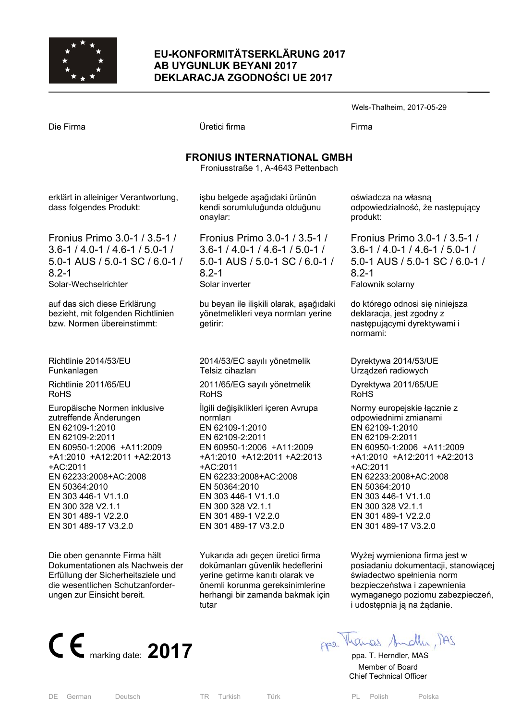

## **EU-KONFORMITÄTSERKLÄRUNG 2017 AB UYGUNLUK BEYANI 2017 DEKLARACJA ZGODNOŚCI UE 2017**

Wels-Thalheim, 2017-05-29

Die Firma Üretici firma Firma

# **FRONIUS INTERNATIONAL GMBH**

Froniusstraße 1, A-4643 Pettenbach

erklärt in alleiniger Verantwortung, dass folgendes Produkt:

Fronius Primo 3.0-1 / 3.5-1 / 3.6-1 / 4.0-1 / 4.6-1 / 5.0-1 / 5.0-1 AUS / 5.0-1 SC / 6.0-1 / 8.2-1 Solar-Wechselrichter

auf das sich diese Erklärung bezieht, mit folgenden Richtlinien bzw. Normen übereinstimmt:

Richtlinie 2014/53/EU Funkanlagen Richtlinie 2011/65/EU RoHS

Europäische Normen inklusive zutreffende Änderungen EN 62109-1:2010 EN 62109-2:2011 EN 60950-1:2006 +A11:2009 +A1:2010 +A12:2011 +A2:2013 +AC:2011 EN 62233:2008+AC:2008 EN 50364:2010 EN 303 446-1 V1.1.0 EN 300 328 V2.1.1 EN 301 489-1 V2.2.0 EN 301 489-17 V3.2.0

Die oben genannte Firma hält Dokumentationen als Nachweis der Erfüllung der Sicherheitsziele und die wesentlichen Schutzanforderungen zur Einsicht bereit.



işbu belgede aşağıdaki ürünün kendi sorumluluğunda olduğunu onaylar:

Fronius Primo 3.0-1 / 3.5-1 / 3.6-1 / 4.0-1 / 4.6-1 / 5.0-1 / 5.0-1 AUS / 5.0-1 SC / 6.0-1 / 8.2-1 Solar inverter

bu beyan ile ilişkili olarak, aşağıdaki yönetmelikleri veya normları yerine getirir:

2014/53/EC sayılı yönetmelik Telsiz cihazları

2011/65/EG sayılı yönetmelik RoHS

İlgili değişiklikleri içeren Avrupa normları EN 62109-1:2010 EN 62109-2:2011 EN 60950-1:2006 +A11:2009 +A1:2010 +A12:2011 +A2:2013 +AC:2011 EN 62233:2008+AC:2008 EN 50364:2010 EN 303 446-1 V1.1.0 EN 300 328 V2.1.1 EN 301 489-1 V2.2.0 EN 301 489-17 V3.2.0

Yukarıda adı geçen üretici firma dokümanları güvenlik hedeflerini yerine getirme kanıtı olarak ve önemli korunma gereksinimlerine herhangi bir zamanda bakmak için tutar

oświadcza na własną odpowiedzialność, że następujący produkt:

Fronius Primo 3.0-1 / 3.5-1 / 3.6-1 / 4.0-1 / 4.6-1 / 5.0-1 / 5.0-1 AUS / 5.0-1 SC / 6.0-1 / 8.2-1 Falownik solarny

do którego odnosi się niniejsza deklaracja, jest zgodny z następującymi dyrektywami i normami:

Dyrektywa 2014/53/UE Urządzeń radiowych

Dyrektywa 2011/65/UE RoHS

Normy europejskie łącznie z odpowiednimi zmianami EN 62109-1:2010 EN 62109-2:2011 EN 60950-1:2006 +A11:2009 +A1:2010 +A12:2011 +A2:2013 +AC:2011 EN 62233:2008+AC:2008 EN 50364:2010 EN 303 446-1 V1.1.0 EN 300 328 V2.1.1 EN 301 489-1 V2.2.0 EN 301 489-17 V3.2.0

Wyżej wymieniona firma jest w posiadaniu dokumentacji, stanowiącej świadectwo spełnienia norm bezpieczeństwa i zapewnienia wymaganego poziomu zabezpieczeń, i udostępnia ją na żądanie.

 Member of Board Chief Technical Officer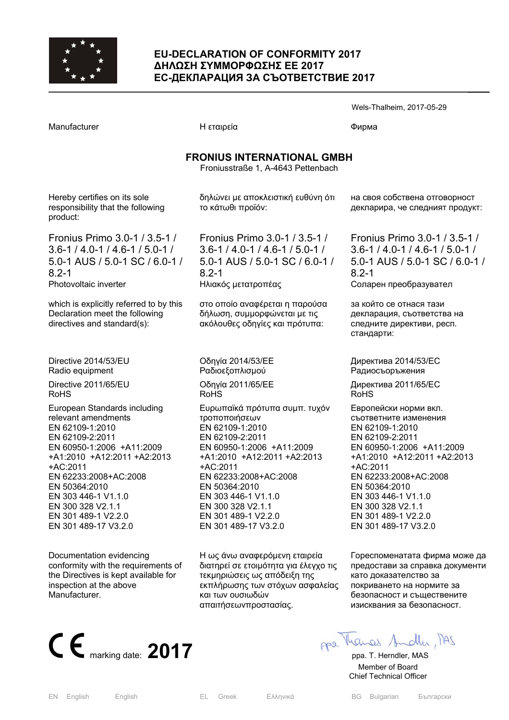

#### **EU-DECLARATION OF CONFORMITY 2017 ∆ΗΛΩΣΗ ΣΥΜΜΟΡΦΩΣΗΣ ΕΕ 2017 ЕС-ДЕКЛАРАЦИЯ ЗА СЪОТВЕТСТВИЕ 2017**

Manufacturer Γιατροποιής Η εταιρεία Παραστού του Φυρωα

**FRONIUS INTERNATIONAL GMBH**  Froniusstraße 1, A-4643 Pettenbach

Hereby certifies on its sole responsibility that the following product:

Fronius Primo 3.0-1 / 3.5-1 / 3.6-1 / 4.0-1 / 4.6-1 / 5.0-1 / 5.0-1 AUS / 5.0-1 SC / 6.0-1 / 8.2-1 Photovoltaic inverter

which is explicitly referred to by this Declaration meet the following directives and standard(s):

Directive 2014/53/EU Radio equipment

Directive 2011/65/EU RoHS

European Standards including relevant amendments EN 62109-1:2010 EN 62109-2:2011 EN 60950-1:2006 +A11:2009 +A1:2010 +A12:2011 +A2:2013 +AC:2011 EN 62233:2008+AC:2008 EN 50364:2010 EN 303 446-1 V1.1.0 EN 300 328 V2.1.1 EN 301 489-1 V2.2.0 EN 301 489-17 V3.2.0

Documentation evidencing conformity with the requirements of the Directives is kept available for inspection at the above Manufacturer.



δηλώνει με αποκλειστική ευθύνη ότι το κάτωθι προϊόν:

Fronius Primo 3.0-1 / 3.5-1 / 3.6-1 / 4.0-1 / 4.6-1 / 5.0-1 / 5.0-1 AUS / 5.0-1 SC / 6.0-1 / 8.2-1 Ηλιακός μετατροπέας

στο οποίο αναφέρεται η παρούσα δήλωση, συμμορφώνεται με τις ακόλουθες οδηγίες και πρότυπα:

Οδηγία 2014/53/EE Pαδιοεξοπλισμού Οδηγία 2011/65/EE RoHS

Ευρωπαϊκά πρότυπα συμπ. τυχόν τροποποιήσεων EN 62109-1:2010 EN 62109-2:2011 EN 60950-1:2006 +A11:2009 +A1:2010 +A12:2011 +A2:2013 +AC:2011 EN 62233:2008+AC:2008 EN 50364:2010 EN 303 446-1 V1.1.0 EN 300 328 V2.1.1 EN 301 489-1 V2.2.0 EN 301 489-17 V3.2.0

Η ως άνω αναφερόμενη εταιρεία διατηρεί σε ετοιμότητα για έλεγχο τις τεκμηριώσεις ως απόδειξη της εκπλήρωσης των στόχων ασφαλείας και των ουσιωδών απαιτήσεωνπροστασίας.

на своя собствена отговорност декларира, че следният продукт:

Wels-Thalheim, 2017-05-29

Fronius Primo 3.0-1 / 3.5-1 / 3.6-1 / 4.0-1 / 4.6-1 / 5.0-1 / 5.0-1 AUS / 5.0-1 SC / 6.0-1 / 8.2-1 Соларен преобразувател

за който се отнася тази декларация, съответства на следните директиви, респ. стандарти:

Директива 2014/53/ЕC Pадиосъоръжения

Директива 2011/65/EC RoHS

Европейски норми вкл. съответните изменения EN 62109-1:2010 EN 62109-2:2011 EN 60950-1:2006 +A11:2009 +A1:2010 +A12:2011 +A2:2013 +AC:2011 EN 62233:2008+AC:2008 EN 50364:2010 EN 303 446-1 V1.1.0 EN 300 328 V2.1.1 EN 301 489-1 V2.2.0 EN 301 489-17 V3.2.0

Гореспоменатата фирма може да предостави за справка документи като доказателство за покриването на нормите за безопасност и съществените изисквания за безопасност.

 Member of Board Chief Technical Officer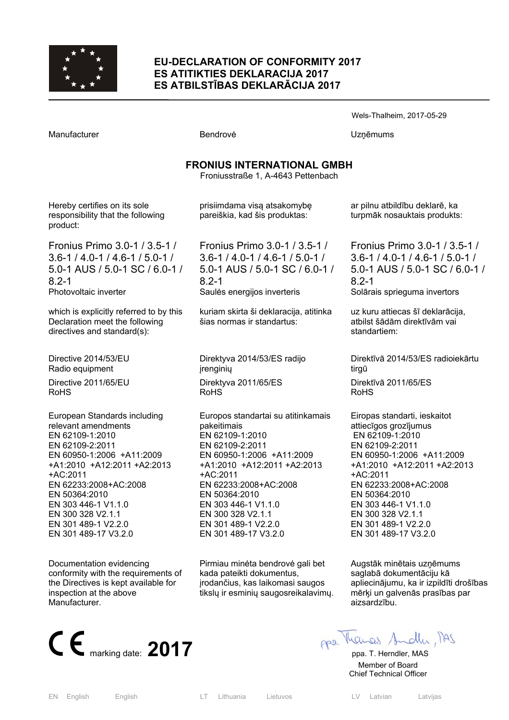

#### **EU-DECLARATION OF CONFORMITY 2017 ES ATITIKTIES DEKLARACIJA 2017 ES ATBILSTĪBAS DEKLARĀCIJA 2017**

| Manufacturer                                                                                                                                                                                                                                                                                           | Bendrovė                                                                                                                                                                                                                                                                                             | Uzņēmums                                                                                                                                                                                                                                                                                                 |  |  |
|--------------------------------------------------------------------------------------------------------------------------------------------------------------------------------------------------------------------------------------------------------------------------------------------------------|------------------------------------------------------------------------------------------------------------------------------------------------------------------------------------------------------------------------------------------------------------------------------------------------------|----------------------------------------------------------------------------------------------------------------------------------------------------------------------------------------------------------------------------------------------------------------------------------------------------------|--|--|
| <b>FRONIUS INTERNATIONAL GMBH</b><br>Froniusstraße 1, A-4643 Pettenbach                                                                                                                                                                                                                                |                                                                                                                                                                                                                                                                                                      |                                                                                                                                                                                                                                                                                                          |  |  |
| Hereby certifies on its sole<br>responsibility that the following<br>product:                                                                                                                                                                                                                          | prisiimdama visą atsakomybę<br>pareiškia, kad šis produktas:                                                                                                                                                                                                                                         | ar pilnu atbildību deklarē, ka<br>turpmāk nosauktais produkts:                                                                                                                                                                                                                                           |  |  |
| Fronius Primo 3.0-1 / 3.5-1 /<br>$3.6 - 1 / 4.0 - 1 / 4.6 - 1 / 5.0 - 1 /$<br>5.0-1 AUS / 5.0-1 SC / 6.0-1 /<br>$8.2 - 1$<br>Photovoltaic inverter                                                                                                                                                     | Fronius Primo 3.0-1 / 3.5-1 /<br>$3.6 - 1 / 4.0 - 1 / 4.6 - 1 / 5.0 - 1 /$<br>5.0-1 AUS / 5.0-1 SC / 6.0-1 /<br>$8.2 - 1$<br>Saules energijos inverteris                                                                                                                                             | Fronius Primo 3.0-1 / 3.5-1 /<br>$3.6 - 1 / 4.0 - 1 / 4.6 - 1 / 5.0 - 1 /$<br>5.0-1 AUS / 5.0-1 SC / 6.0-1 /<br>$8.2 - 1$<br>Solārais sprieguma invertors                                                                                                                                                |  |  |
| which is explicitly referred to by this<br>Declaration meet the following<br>directives and standard(s):                                                                                                                                                                                               | kuriam skirta ši deklaracija, atitinka<br>šias normas ir standartus:                                                                                                                                                                                                                                 | uz kuru attiecas šī deklarācija,<br>atbilst šādām direktīvām vai<br>standartiem:                                                                                                                                                                                                                         |  |  |
| Directive 2014/53/EU<br>Radio equipment<br>Directive 2011/65/EU<br>RoHS                                                                                                                                                                                                                                | Direktyva 2014/53/ES radijo<br>jrenginių<br>Direktyva 2011/65/ES<br><b>RoHS</b>                                                                                                                                                                                                                      | Direktīvā 2014/53/ES radioiekārtu<br>tirgū<br>Direktīvā 2011/65/ES<br>RoHS                                                                                                                                                                                                                               |  |  |
| European Standards including<br>relevant amendments<br>EN 62109-1:2010<br>EN 62109-2:2011<br>EN 60950-1:2006 +A11:2009<br>+A1:2010 +A12:2011 +A2:2013<br>+AC:2011<br>EN 62233:2008+AC:2008<br>EN 50364:2010<br>EN 303 446-1 V1.1.0<br>EN 300 328 V2.1.1<br>EN 301 489-1 V2.2.0<br>EN 301 489-17 V3.2.0 | Europos standartai su atitinkamais<br>pakeitimais<br>EN 62109-1:2010<br>EN 62109-2:2011<br>EN 60950-1:2006 +A11:2009<br>+A1:2010 +A12:2011 +A2:2013<br>+AC:2011<br>EN 62233:2008+AC:2008<br>EN 50364:2010<br>EN 303 446-1 V1.1.0<br>EN 300 328 V2.1.1<br>EN 301 489-1 V2.2.0<br>EN 301 489-17 V3.2.0 | Eiropas standarti, ieskaitot<br>attiecīgos grozījumus<br>EN 62109-1:2010<br>EN 62109-2:2011<br>EN 60950-1:2006 +A11:2009<br>+A1:2010 +A12:2011 +A2:2013<br>+AC:2011<br>EN 62233:2008+AC:2008<br>EN 50364:2010<br>EN 303 446-1 V1.1.0<br>EN 300 328 V2.1.1<br>EN 301 489-1 V2.2.0<br>EN 301 489-17 V3.2.0 |  |  |

Augstāk minētais uzņēmums saglabā dokumentāciju kā apliecinājumu, ka ir izpildīti drošības mērķi un galvenās prasības par aizsardzību.

Wels-Thalheim, 2017-05-29



 Member of Board Chief Technical Officer

Documentation evidencing

inspection at the above

Manufacturer.

conformity with the requirements of the Directives is kept available for

Pirmiau minėta bendrovė gali bet kada pateikti dokumentus, įrodančius, kas laikomasi saugos tikslų ir esminių saugosreikalavimų.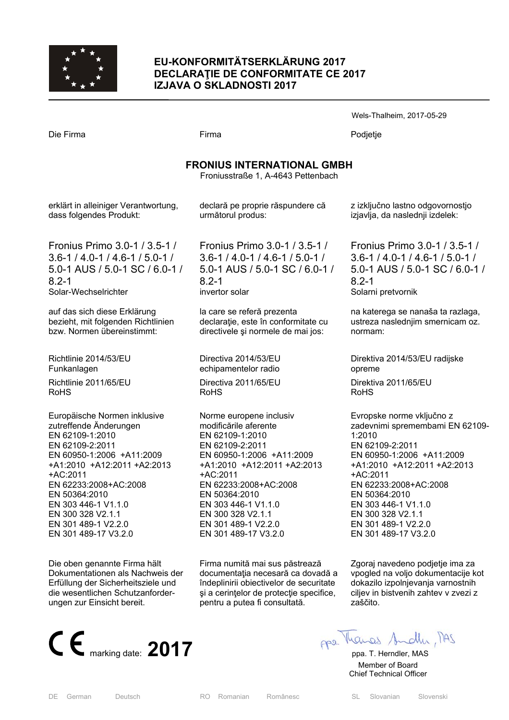

## **EU-KONFORMITÄTSERKLÄRUNG 2017 DECLARAŢIE DE CONFORMITATE CE 2017 IZJAVA O SKLADNOSTI 2017**

Die Firma Firma Podjetje

| <b>FRONIUS INTERNATIONAL GMBH</b><br>Froniusstraße 1, A-4643 Pettenbach |                                     |                                    |  |  |
|-------------------------------------------------------------------------|-------------------------------------|------------------------------------|--|--|
|                                                                         |                                     |                                    |  |  |
| dass folgendes Produkt:                                                 | următorul produs:                   | izjavlja, da naslednji izdelek:    |  |  |
| Fronius Primo 3.0-1 / 3.5-1 /                                           | Fronius Primo 3.0-1 / 3.5-1 /       | Fronius Primo 3.0-1 / 3.5-1        |  |  |
| $3.6 - 1/4.0 - 1/4.6 - 1/5.0 - 1/$                                      | $3.6 - 1/4.0 - 1/4.6 - 1/5.0 - 1/$  | $3.6 - 1/4.0 - 1/4.6 - 1/5.0 - 1/$ |  |  |
| 5.0-1 AUS / 5.0-1 SC / 6.0-1 /                                          | 5.0-1 AUS / 5.0-1 SC / 6.0-1 /      | 5.0-1 AUS / 5.0-1 SC / 6.0-        |  |  |
| $8.2 - 1$                                                               | $8.2 - 1$                           | $8.2 - 1$                          |  |  |
| Solar-Wechselrichter                                                    | invertor solar                      | Solarni pretvornik                 |  |  |
| auf das sich diese Erklärung                                            | la care se referă prezenta          | na katerega se nanaša ta razlaga   |  |  |
| bezieht, mit folgenden Richtlinien                                      | declarație, este în conformitate cu | ustreza naslednjim smernicam oz    |  |  |
| bzw. Normen übereinstimmt:                                              | directivele și normele de mai jos:  | normam:                            |  |  |
| Richtlinie 2014/53/EU                                                   | Directiva 2014/53/EU                | Direktiva 2014/53/EU radijske      |  |  |
| Eunkanlogon                                                             | ochinamontolor radio                | opromo.                            |  |  |

Richt Funkanlagen Richtlinie 2011/65/EU RoHS

Europäische Normen inklusive zutreffende Änderungen EN 62109-1:2010 EN 62109-2:2011 EN 60950-1:2006 +A11:2009 +A1:2010 +A12:2011 +A2:2013 +AC:2011 EN 62233:2008+AC:2008 EN 50364:2010 EN 303 446-1 V1.1.0 EN 300 328 V2.1.1 EN 301 489-1 V2.2.0 EN 301 489-17 V3.2.0

Die oben genannte Firma hält Dokumentationen als Nachweis der Erfüllung der Sicherheitsziele und die wesentlichen Schutzanforderungen zur Einsicht bereit.



echipamentelor radio Directiva 2011/65/EU RoHS

Norme europene inclusiv modificările aferente EN 62109-1:2010 EN 62109-2:2011 EN 60950-1:2006 +A11:2009 +A1:2010 +A12:2011 +A2:2013 +AC:2011 EN 62233:2008+AC:2008 EN 50364:2010 EN 303 446-1 V1.1.0 EN 300 328 V2.1.1 EN 301 489-1 V2.2.0 EN 301 489-17 V3.2.0

Firma numită mai sus păstrează documentaţia necesară ca dovadă a îndeplinirii obiectivelor de securitate şi a cerinţelor de protecţie specifice, pentru a putea fi consultată.

Fronius Primo 3.0-1 / 3.5-1 / 3.6-1 / 4.0-1 / 4.6-1 / 5.0-1 / 5.0-1 AUS / 5.0-1 SC / 6.0-1 /

Wels-Thalheim, 2017-05-29

na katerega se nanaša ta razlaga, ustreza naslednjim smernicam oz.

opreme Direktiva 2011/65/EU RoHS

Evropske norme vključno z zadevnimi spremembami EN 62109- 1:2010 EN 62109-2:2011 EN 60950-1:2006 +A11:2009 +A1:2010 +A12:2011 +A2:2013 +AC:2011 EN 62233:2008+AC:2008 EN 50364:2010 EN 303 446-1 V1.1.0 EN 300 328 V2.1.1 EN 301 489-1 V2.2.0 EN 301 489-17 V3.2.0

Zgoraj navedeno podjetje ima za vpogled na voljo dokumentacije kot dokazilo izpolnjevanja varnostnih ciljev in bistvenih zahtev v zvezi z zaščito.

DE German Deutsch RO Romanian Românesc SL Slovanian Slovenski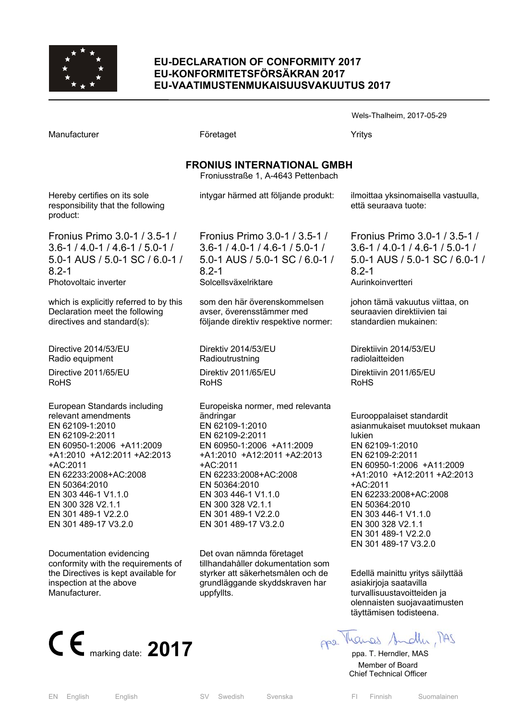

#### **EU-DECLARATION OF CONFORMITY 2017 EU-KONFORMITETSFÖRSÄKRAN 2017 EU-VAATIMUSTENMUKAISUUSVAKUUTUS 2017**

| Manufacturer                                                                                                                                                                                              | Företaget                                                                                                                                                                                           | Yritys                                                                                                                                                                                 |  |  |  |
|-----------------------------------------------------------------------------------------------------------------------------------------------------------------------------------------------------------|-----------------------------------------------------------------------------------------------------------------------------------------------------------------------------------------------------|----------------------------------------------------------------------------------------------------------------------------------------------------------------------------------------|--|--|--|
| <b>FRONIUS INTERNATIONAL GMBH</b><br>Froniusstraße 1, A-4643 Pettenbach                                                                                                                                   |                                                                                                                                                                                                     |                                                                                                                                                                                        |  |  |  |
| Hereby certifies on its sole<br>responsibility that the following<br>product:                                                                                                                             | intygar härmed att följande produkt:                                                                                                                                                                | ilmoittaa yksinomaisella vastuulla,<br>että seuraava tuote:                                                                                                                            |  |  |  |
| Fronius Primo 3.0-1 / 3.5-1 /<br>$3.6 - 1 / 4.0 - 1 / 4.6 - 1 / 5.0 - 1 /$<br>5.0-1 AUS / 5.0-1 SC / 6.0-1 /<br>$8.2 - 1$<br>Photovoltaic inverter                                                        | Fronius Primo 3.0-1 / 3.5-1 /<br>$3.6 - 1 / 4.0 - 1 / 4.6 - 1 / 5.0 - 1 /$<br>5.0-1 AUS / 5.0-1 SC / 6.0-1 /<br>$8.2 - 1$<br>Solcellsväxelriktare                                                   | Fronius Primo 3.0-1 / 3.5-1 /<br>$3.6 - 1 / 4.0 - 1 / 4.6 - 1 / 5.0 - 1 /$<br>5.0-1 AUS / 5.0-1 SC / 6.0-1 /<br>$8.2 - 1$<br>Aurinkoinvertteri                                         |  |  |  |
| which is explicitly referred to by this<br>Declaration meet the following<br>directives and standard(s):                                                                                                  | som den här överenskommelsen<br>avser, överensstämmer med<br>följande direktiv respektive normer:                                                                                                   | johon tämä vakuutus viittaa, on<br>seuraavien direktiivien tai<br>standardien mukainen:                                                                                                |  |  |  |
| Directive 2014/53/EU<br>Radio equipment<br>Directive 2011/65/EU                                                                                                                                           | Direktiv 2014/53/EU<br>Radioutrustning<br>Direktiv 2011/65/EU                                                                                                                                       | Direktiivin 2014/53/EU<br>radiolaitteiden<br>Direktiivin 2011/65/EU                                                                                                                    |  |  |  |
| <b>RoHS</b><br>European Standards including<br>relevant amendments<br>EN 62109-1:2010<br>EN 62109-2:2011<br>EN 60950-1:2006 +A11:2009<br>+A1:2010 +A12:2011 +A2:2013<br>+AC:2011<br>EN 62233:2008+AC:2008 | <b>RoHS</b><br>Europeiska normer, med relevanta<br>ändringar<br>EN 62109-1:2010<br>EN 62109-2:2011<br>EN 60950-1:2006 +A11:2009<br>+A1:2010 +A12:2011 +A2:2013<br>+AC:2011<br>EN 62233:2008+AC:2008 | <b>RoHS</b><br>Eurooppalaiset standardit<br>asianmukaiset muutokset mukaan<br>lukien<br>EN 62109-1:2010<br>EN 62109-2:2011<br>EN 60950-1:2006 +A11:2009<br>+A1:2010 +A12:2011 +A2:2013 |  |  |  |

 $+AC$ : EN 62233:2008+AC:2008 EN 50364:2010 EN 303 446-1 V1.1.0 EN 300 328 V2.1.1 EN 301 489-1 V2.2.0 EN 301 489-17 V3.2.0

Documentation evidencing conformity with the requirements of the Directives is kept available for inspection at the above Manufacturer.



EN 62233:2008+AC:2008 EN 50364:2010 EN 303 446-1 V1.1.0 EN 300 328 V2.1.1 EN 301 489-1 V2.2.0 EN 301 489-17 V3.2.0

Det ovan nämnda företaget tillhandahåller dokumentation som styrker att säkerhetsmålen och de grundläggande skyddskraven har uppfyllts.

 $2A1$ 

asiakirjoja saatavilla turvallisuustavoitteiden ja olennaisten suojavaatimusten täyttämisen todisteena.

+AC:2011

EN 50364:2010 EN 303 446-1 V1.1.0 EN 300 328 V2.1.1 EN 301 489-1 V2.2.0 EN 301 489-17 V3.2.0

EN 62233:2008+AC:2008

Edellä mainittu yritys säilyttää

Wels-Thalheim, 2017-05-29

 Member of Board Chief Technical Officer